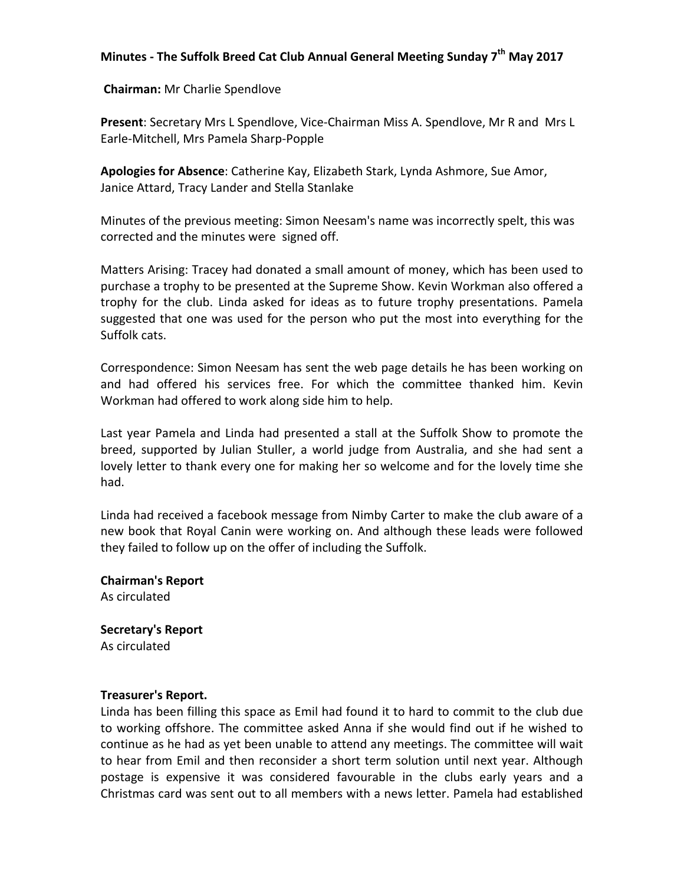# **Minutes - The Suffolk Breed Cat Club Annual General Meeting Sunday 7<sup>th</sup> May 2017**

**Chairman:** Mr Charlie Spendlove

**Present:** Secretary Mrs L Spendlove, Vice-Chairman Miss A. Spendlove, Mr R and Mrs L Earle-Mitchell, Mrs Pamela Sharp-Popple

Apologies for Absence: Catherine Kay, Elizabeth Stark, Lynda Ashmore, Sue Amor, Janice Attard, Tracy Lander and Stella Stanlake

Minutes of the previous meeting: Simon Neesam's name was incorrectly spelt, this was corrected and the minutes were signed off.

Matters Arising: Tracey had donated a small amount of money, which has been used to purchase a trophy to be presented at the Supreme Show. Kevin Workman also offered a trophy for the club. Linda asked for ideas as to future trophy presentations. Pamela suggested that one was used for the person who put the most into everything for the Suffolk cats.

Correspondence: Simon Neesam has sent the web page details he has been working on and had offered his services free. For which the committee thanked him. Kevin Workman had offered to work along side him to help.

Last year Pamela and Linda had presented a stall at the Suffolk Show to promote the breed, supported by Julian Stuller, a world judge from Australia, and she had sent a lovely letter to thank every one for making her so welcome and for the lovely time she had. 

Linda had received a facebook message from Nimby Carter to make the club aware of a new book that Royal Canin were working on. And although these leads were followed they failed to follow up on the offer of including the Suffolk.

**Chairman's Report** As circulated

**Secretary's Report** As circulated

## **Treasurer's Report.**

Linda has been filling this space as Emil had found it to hard to commit to the club due to working offshore. The committee asked Anna if she would find out if he wished to continue as he had as yet been unable to attend any meetings. The committee will wait to hear from Emil and then reconsider a short term solution until next year. Although postage is expensive it was considered favourable in the clubs early years and a Christmas card was sent out to all members with a news letter. Pamela had established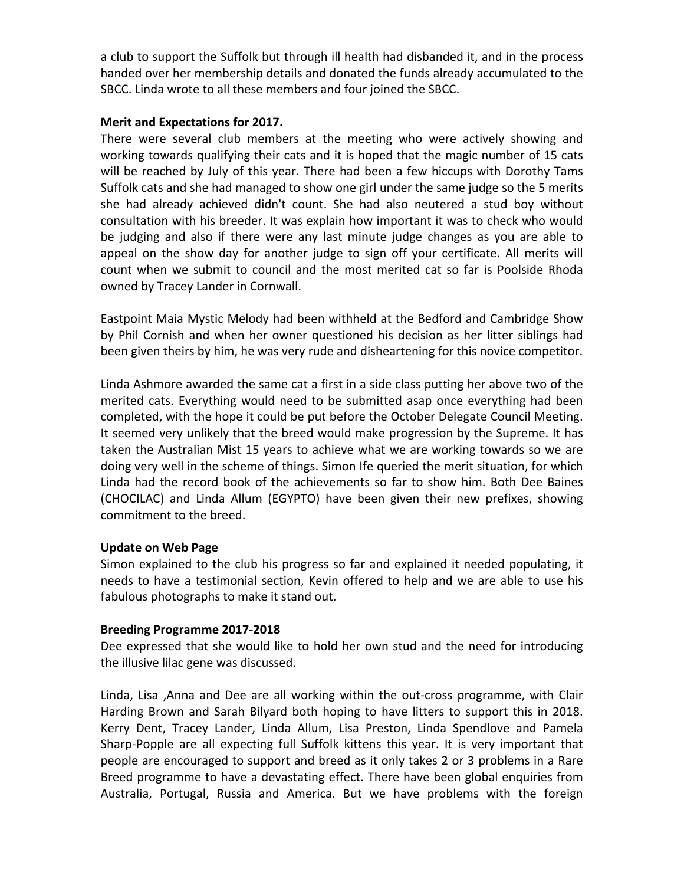a club to support the Suffolk but through ill health had disbanded it, and in the process handed over her membership details and donated the funds already accumulated to the SBCC. Linda wrote to all these members and four joined the SBCC.

## **Merit and Expectations for 2017.**

There were several club members at the meeting who were actively showing and working towards qualifying their cats and it is hoped that the magic number of 15 cats will be reached by July of this year. There had been a few hiccups with Dorothy Tams Suffolk cats and she had managed to show one girl under the same judge so the 5 merits she had already achieved didn't count. She had also neutered a stud boy without consultation with his breeder. It was explain how important it was to check who would be judging and also if there were any last minute judge changes as you are able to appeal on the show day for another judge to sign off your certificate. All merits will count when we submit to council and the most merited cat so far is Poolside Rhoda owned by Tracey Lander in Cornwall.

Eastpoint Maia Mystic Melody had been withheld at the Bedford and Cambridge Show by Phil Cornish and when her owner questioned his decision as her litter siblings had been given theirs by him, he was very rude and disheartening for this novice competitor.

Linda Ashmore awarded the same cat a first in a side class putting her above two of the merited cats. Everything would need to be submitted asap once everything had been completed, with the hope it could be put before the October Delegate Council Meeting. It seemed very unlikely that the breed would make progression by the Supreme. It has taken the Australian Mist 15 years to achieve what we are working towards so we are doing very well in the scheme of things. Simon Ife queried the merit situation, for which Linda had the record book of the achievements so far to show him. Both Dee Baines (CHOCILAC) and Linda Allum (EGYPTO) have been given their new prefixes, showing commitment to the breed.

## **Update on Web Page**

Simon explained to the club his progress so far and explained it needed populating, it needs to have a testimonial section, Kevin offered to help and we are able to use his fabulous photographs to make it stand out.

## **Breeding Programme 2017-2018**

Dee expressed that she would like to hold her own stud and the need for introducing the illusive lilac gene was discussed.

Linda, Lisa, Anna and Dee are all working within the out-cross programme, with Clair Harding Brown and Sarah Bilyard both hoping to have litters to support this in 2018. Kerry Dent, Tracey Lander, Linda Allum, Lisa Preston, Linda Spendlove and Pamela Sharp-Popple are all expecting full Suffolk kittens this year. It is very important that people are encouraged to support and breed as it only takes 2 or 3 problems in a Rare Breed programme to have a devastating effect. There have been global enquiries from Australia, Portugal, Russia and America. But we have problems with the foreign